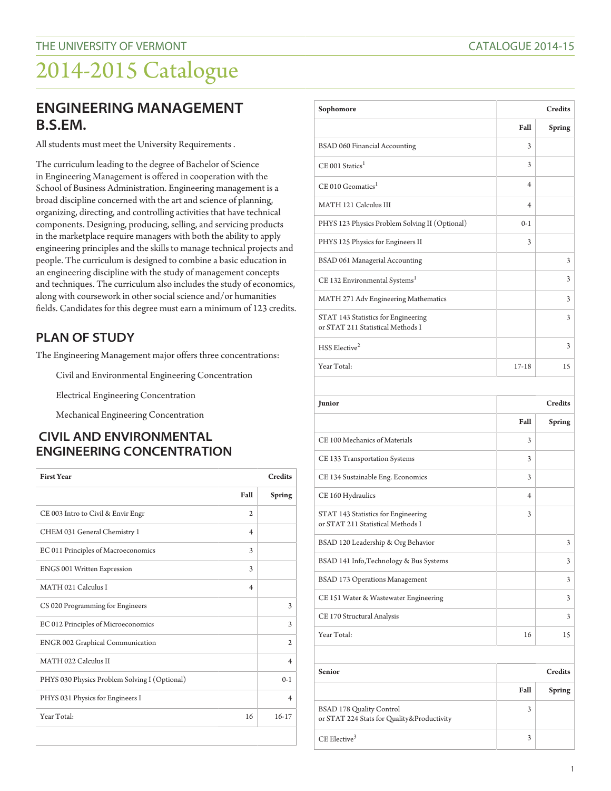### **ENGINEERING MANAGEMENT B.S.EM.**

All students must meet the University Requirements .

The curriculum leading to the degree of Bachelor of Science in Engineering Management is offered in cooperation with the School of Business Administration. Engineering management is a broad discipline concerned with the art and science of planning, organizing, directing, and controlling activities that have technical components. Designing, producing, selling, and servicing products in the marketplace require managers with both the ability to apply engineering principles and the skills to manage technical projects and people. The curriculum is designed to combine a basic education in an engineering discipline with the study of management concepts and techniques. The curriculum also includes the study of economics, along with coursework in other social science and/or humanities fields. Candidates for this degree must earn a minimum of 123 credits.

#### **PLAN OF STUDY**

The Engineering Management major offers three concentrations:

Civil and Environmental Engineering Concentration

Electrical Engineering Concentration

Mechanical Engineering Concentration

#### **CIVIL AND ENVIRONMENTAL ENGINEERING CONCENTRATION**

| <b>First Year</b>                             | <b>Credits</b>          |                |
|-----------------------------------------------|-------------------------|----------------|
|                                               | Fall                    | Spring         |
| CE 003 Intro to Civil & Envir Engr            | $\mathfrak{D}$          |                |
| CHEM 031 General Chemistry 1                  | $\overline{4}$          |                |
| EC 011 Principles of Macroeconomics           | 3                       |                |
| <b>ENGS 001 Written Expression</b>            | 3                       |                |
| MATH 021 Calculus I                           | $\overline{\mathbf{4}}$ |                |
| CS 020 Programming for Engineers              |                         | 3              |
| EC 012 Principles of Microeconomics           |                         | 3              |
| <b>ENGR 002 Graphical Communication</b>       |                         | $\mathfrak{2}$ |
| MATH 022 Calculus II                          |                         | $\overline{4}$ |
| PHYS 030 Physics Problem Solving I (Optional) |                         | $() - 1$       |
| PHYS 031 Physics for Engineers I              |                         | $\overline{4}$ |
| Year Total:                                   | 16                      | $16 - 17$      |
|                                               |                         |                |

| Sophomore                                                                | <b>Credits</b> |         |
|--------------------------------------------------------------------------|----------------|---------|
|                                                                          | Fall           | Spring  |
| BSAD 060 Financial Accounting                                            | 3              |         |
| $CE$ 001 Statics <sup>1</sup>                                            | 3              |         |
| CE 010 Geomatics <sup>1</sup>                                            | $\overline{4}$ |         |
| MATH 121 Calculus III                                                    | $\overline{4}$ |         |
| PHYS 123 Physics Problem Solving II (Optional)                           | $0-1$          |         |
| PHYS 125 Physics for Engineers II                                        | 3              |         |
| BSAD 061 Managerial Accounting                                           |                | 3       |
| CE 132 Environmental Systems <sup>1</sup>                                |                | 3       |
| MATH 271 Adv Engineering Mathematics                                     |                | 3       |
| STAT 143 Statistics for Engineering<br>or STAT 211 Statistical Methods I |                | 3       |
| HSS Elective <sup>2</sup>                                                |                | 3       |
| Year Total:                                                              | $17-18$        | 15      |
| <b>Iunior</b>                                                            |                | Credits |

| Junior                                                                   | <b>Credits</b> |               |
|--------------------------------------------------------------------------|----------------|---------------|
|                                                                          | Fall           | <b>Spring</b> |
| CE 100 Mechanics of Materials                                            | 3              |               |
| CE 133 Transportation Systems                                            | 3              |               |
| CE 134 Sustainable Eng. Economics                                        | 3              |               |
| CE 160 Hydraulics                                                        | 4              |               |
| STAT 143 Statistics for Engineering<br>or STAT 211 Statistical Methods I | 3              |               |
| BSAD 120 Leadership & Org Behavior                                       |                | 3             |
| BSAD 141 Info, Technology & Bus Systems                                  |                | 3             |
| <b>BSAD 173 Operations Management</b>                                    |                | 3             |
| CE 151 Water & Wastewater Engineering                                    |                | 3             |
| CE 170 Structural Analysis                                               |                | 3             |
| Year Total:                                                              | 16             | 15            |

| <b>Senior</b>                                                                 |      | <b>Credits</b> |
|-------------------------------------------------------------------------------|------|----------------|
|                                                                               | Fall | <b>Spring</b>  |
| <b>BSAD 178 Quality Control</b><br>or STAT 224 Stats for Quality&Productivity | 3    |                |
| $CE$ Elective <sup>3</sup>                                                    | 3    |                |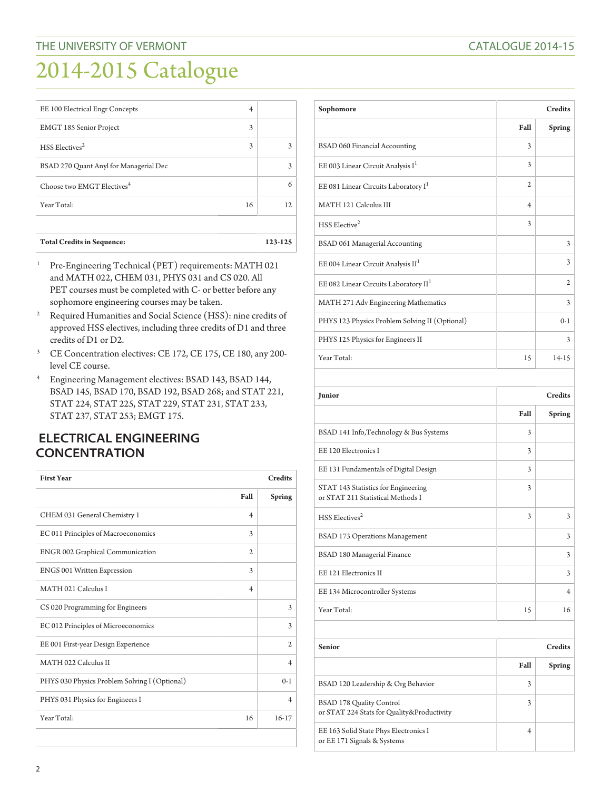| <b>Total Credits in Sequence:</b>      |    | 123-125 |
|----------------------------------------|----|---------|
| Year Total:                            | 16 | 12      |
| Choose two EMGT Electives <sup>4</sup> |    | 6       |
| BSAD 270 Quant Anyl for Managerial Dec |    | 3       |
| HSS Electives <sup>2</sup>             | 3  | 3       |
| <b>EMGT 185 Senior Project</b>         | 3  |         |
| EE 100 Electrical Engr Concepts        | 4  |         |

- <sup>1</sup> Pre-Engineering Technical (PET) requirements: MATH 021 and MATH 022, CHEM 031, PHYS 031 and CS 020. All PET courses must be completed with C- or better before any sophomore engineering courses may be taken.
- <sup>2</sup> Required Humanities and Social Science (HSS): nine credits of approved HSS electives, including three credits of D1 and three credits of D1 or D2.
- <sup>3</sup> CE Concentration electives: CE 172, CE 175, CE 180, any 200level CE course.
- <sup>4</sup> Engineering Management electives: BSAD 143, BSAD 144, BSAD 145, BSAD 170, BSAD 192, BSAD 268; and STAT 221, STAT 224, STAT 225, STAT 229, STAT 231, STAT 233, STAT 237, STAT 253; EMGT 175.

#### **ELECTRICAL ENGINEERING CONCENTRATION**

| <b>First Year</b>                             | <b>Credits</b> |                |
|-----------------------------------------------|----------------|----------------|
|                                               | Fall           | Spring         |
| CHEM 031 General Chemistry 1                  | $\overline{4}$ |                |
| EC 011 Principles of Macroeconomics           | 3              |                |
| ENGR 002 Graphical Communication              | $\overline{c}$ |                |
| <b>ENGS 001 Written Expression</b>            | 3              |                |
| MATH 021 Calculus I                           | $\overline{4}$ |                |
| CS 020 Programming for Engineers              |                | 3              |
| EC 012 Principles of Microeconomics           |                | 3              |
| EE 001 First-year Design Experience           |                | $\overline{c}$ |
| MATH 022 Calculus II                          |                | $\overline{4}$ |
| PHYS 030 Physics Problem Solving I (Optional) |                | $0-1$          |
| PHYS 031 Physics for Engineers I              |                | $\overline{4}$ |
| Year Total:                                   | 16             | $16-17$        |

| Sophomore                                         | <b>Credits</b> |                |
|---------------------------------------------------|----------------|----------------|
|                                                   | Fall           | Spring         |
| BSAD 060 Financial Accounting                     | 3              |                |
| EE 003 Linear Circuit Analysis I <sup>1</sup>     | 3              |                |
| EE 081 Linear Circuits Laboratory I <sup>1</sup>  | $\mathfrak{2}$ |                |
| MATH 121 Calculus III                             | $\overline{4}$ |                |
| $HSS$ Elective <sup>2</sup>                       | 3              |                |
| BSAD 061 Managerial Accounting                    |                | 3              |
| EE 004 Linear Circuit Analysis II <sup>1</sup>    |                | 3              |
| EE 082 Linear Circuits Laboratory II <sup>1</sup> |                | $\overline{c}$ |
| MATH 271 Adv Engineering Mathematics              |                | 3              |
| PHYS 123 Physics Problem Solving II (Optional)    |                | $0-1$          |
| PHYS 125 Physics for Engineers II                 |                | 3              |
| Year Total:                                       | 15             | $14 - 15$      |

| Junior                                                                   |      | <b>Credits</b> |
|--------------------------------------------------------------------------|------|----------------|
|                                                                          | Fall | Spring         |
| BSAD 141 Info, Technology & Bus Systems                                  | 3    |                |
| EE 120 Electronics I                                                     | 3    |                |
| EE 131 Fundamentals of Digital Design                                    | 3    |                |
| STAT 143 Statistics for Engineering<br>or STAT 211 Statistical Methods I | 3    |                |
| HSS Electives <sup>2</sup>                                               | 3    | 3              |
| <b>BSAD 173 Operations Management</b>                                    |      | 3              |
| BSAD 180 Managerial Finance                                              |      | 3              |
| EE 121 Electronics II                                                    |      | 3              |
| EE 134 Microcontroller Systems                                           |      | 4              |
| Year Total:                                                              | 15   | 16             |

| <b>Senior</b>                                                                 |      | <b>Credits</b> |
|-------------------------------------------------------------------------------|------|----------------|
|                                                                               | Fall | Spring         |
| BSAD 120 Leadership & Org Behavior                                            | 3    |                |
| <b>BSAD 178 Quality Control</b><br>or STAT 224 Stats for Quality&Productivity | 3    |                |
| EE 163 Solid State Phys Electronics I<br>or EE 171 Signals & Systems          | 4    |                |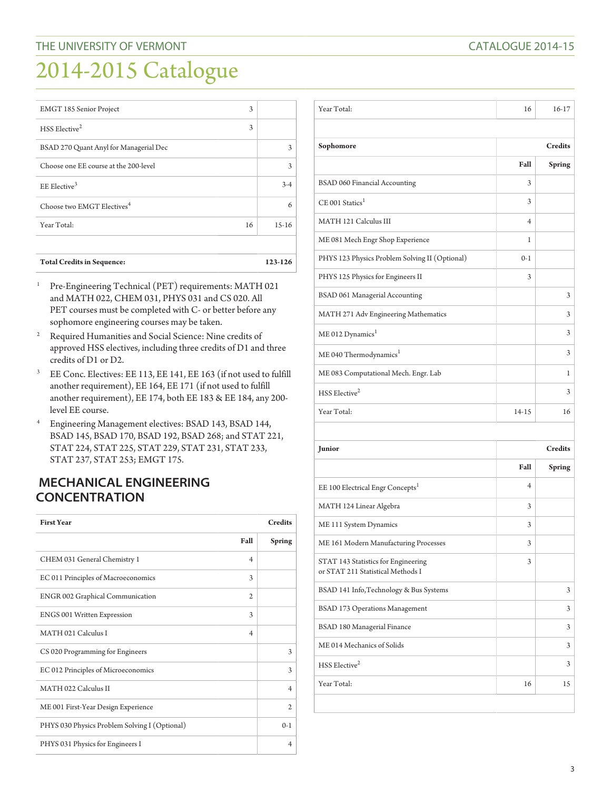| EMGT 185 Senior Project                | 3  |         |
|----------------------------------------|----|---------|
| HSS Elective <sup>2</sup>              | 3  |         |
| BSAD 270 Quant Anyl for Managerial Dec |    | 3       |
| Choose one EE course at the 200-level  |    | 3       |
| EE Elective <sup>3</sup>               |    | $3-4$   |
| Choose two EMGT Electives <sup>4</sup> |    | 6       |
| Year Total:                            | 16 | $15-16$ |
|                                        |    |         |
|                                        |    |         |

| <b>Total Credits in Sequence:</b> | 123-126 |
|-----------------------------------|---------|
|-----------------------------------|---------|

- <sup>1</sup> Pre-Engineering Technical (PET) requirements: MATH 021 and MATH 022, CHEM 031, PHYS 031 and CS 020. All PET courses must be completed with C- or better before any sophomore engineering courses may be taken.
- <sup>2</sup> Required Humanities and Social Science: Nine credits of approved HSS electives, including three credits of D1 and three credits of D1 or D2.
- <sup>3</sup> EE Conc. Electives: EE 113, EE 141, EE 163 (if not used to fulfill another requirement), EE 164, EE 171 (if not used to fulfill another requirement), EE 174, both EE 183 & EE 184, any 200 level EE course.
- <sup>4</sup> Engineering Management electives: BSAD 143, BSAD 144, BSAD 145, BSAD 170, BSAD 192, BSAD 268; and STAT 221, STAT 224, STAT 225, STAT 229, STAT 231, STAT 233, STAT 237, STAT 253; EMGT 175.

#### **MECHANICAL ENGINEERING CONCENTRATION**

| <b>First Year</b>                             | <b>Credits</b> |                |
|-----------------------------------------------|----------------|----------------|
|                                               | Fall           | <b>Spring</b>  |
| CHEM 031 General Chemistry 1                  | $\overline{4}$ |                |
| EC 011 Principles of Macroeconomics           | 3              |                |
| <b>ENGR 002 Graphical Communication</b>       | 2              |                |
| ENGS 001 Written Expression                   | 3              |                |
| MATH 021 Calculus I                           | $\overline{4}$ |                |
| CS 020 Programming for Engineers              |                | 3              |
| EC 012 Principles of Microeconomics           |                | 3              |
| MATH 022 Calculus II                          |                | $\overline{4}$ |
| ME 001 First-Year Design Experience           |                | $\mathfrak{D}$ |
| PHYS 030 Physics Problem Solving I (Optional) |                | $0-1$          |
| PHYS 031 Physics for Engineers I              |                | 4              |

| Year Total:                                                              | 16             | $16-17$       |
|--------------------------------------------------------------------------|----------------|---------------|
|                                                                          |                |               |
| Sophomore                                                                | <b>Credits</b> |               |
|                                                                          | Fall           | Spring        |
| BSAD 060 Financial Accounting                                            | 3              |               |
| $CE$ 001 Statics <sup>1</sup>                                            | 3              |               |
| MATH 121 Calculus III                                                    | 4              |               |
| ME 081 Mech Engr Shop Experience                                         | 1              |               |
| PHYS 123 Physics Problem Solving II (Optional)                           | $0 - 1$        |               |
| PHYS 125 Physics for Engineers II                                        | 3              |               |
| BSAD 061 Managerial Accounting                                           |                | 3             |
| MATH 271 Adv Engineering Mathematics                                     |                | 3             |
| ME 012 Dynamics <sup>1</sup>                                             |                | 3             |
| ME 040 Thermodynamics <sup>1</sup>                                       |                | 3             |
| ME 083 Computational Mech. Engr. Lab                                     |                | 1             |
| HSS Elective <sup>2</sup>                                                |                | 3             |
| Year Total:                                                              | 14-15          | 16            |
|                                                                          |                |               |
| Junior                                                                   | <b>Credits</b> |               |
|                                                                          | Fall           | <b>Spring</b> |
| EE 100 Electrical Engr Concepts <sup>1</sup>                             | 4              |               |
| MATH 124 Linear Algebra                                                  | 3              |               |
| ME 111 System Dynamics                                                   | 3              |               |
| ME 161 Modern Manufacturing Processes                                    | 3              |               |
|                                                                          | 3              |               |
| STAT 143 Statistics for Engineering<br>or STAT 211 Statistical Methods I |                |               |
| BSAD 141 Info, Technology & Bus Systems                                  |                | 3             |
| <b>BSAD 173 Operations Management</b>                                    |                | 3             |
| BSAD 180 Managerial Finance                                              |                | 3             |
| ME 014 Mechanics of Solids                                               |                | 3             |
| HSS Elective <sup>2</sup>                                                |                | 3             |